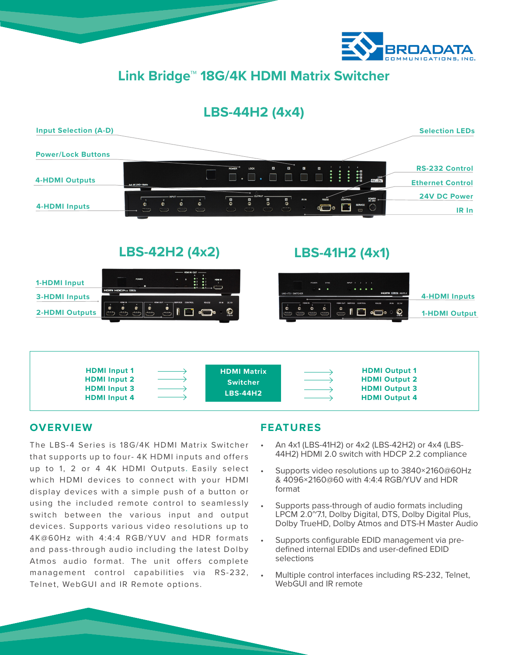

**Link Bridge™ 18G/4K HDMI Matrix Switcher**

# **LBS-44H2 (4x4)**



**LBS-42H2 (4x2)**





## **OVERVIEW**

The LBS-4 Series is 18G/4K HDMI Matrix Switcher that supports up to four- 4K HDMI inputs and offers up to 1, 2 or 4 4K HDMI Outputs. Easily select which HDMI devices to connect with your HDMI display devices with a simple push of a button or using the included remote control to seamlessly switch between the various input and output devices. Supports various video resolutions up to 4K@60Hz with 4:4:4 RGB/YUV and HDR formats and pass-through audio including the latest Dolby Atmos audio format. The unit offers complete management control capabilities via RS-232, Telnet, WebGUI and IR Remote options.

# **FEATURES**

• An 4x1 (LBS-41H2) or 4x2 (LBS-42H2) or 4x4 (LBS-44H2) HDMI 2.0 switch with HDCP 2.2 compliance

**LBS-41H2 (4x1)**

- Supports video resolutions up to 3840×2160@60Hz & 4096×2160@60 with 4:4:4 RGB/YUV and HDR format
- Supports pass-through of audio formats including LPCM 2.0~7.1, Dolby Digital, DTS, Dolby Digital Plus, Dolby TrueHD, Dolby Atmos and DTS-H Master Audio
- Supports configurable EDID management via predefined internal EDIDs and user-defined EDID selections
- Multiple control interfaces including RS-232, Telnet, WebGUI and IR remote